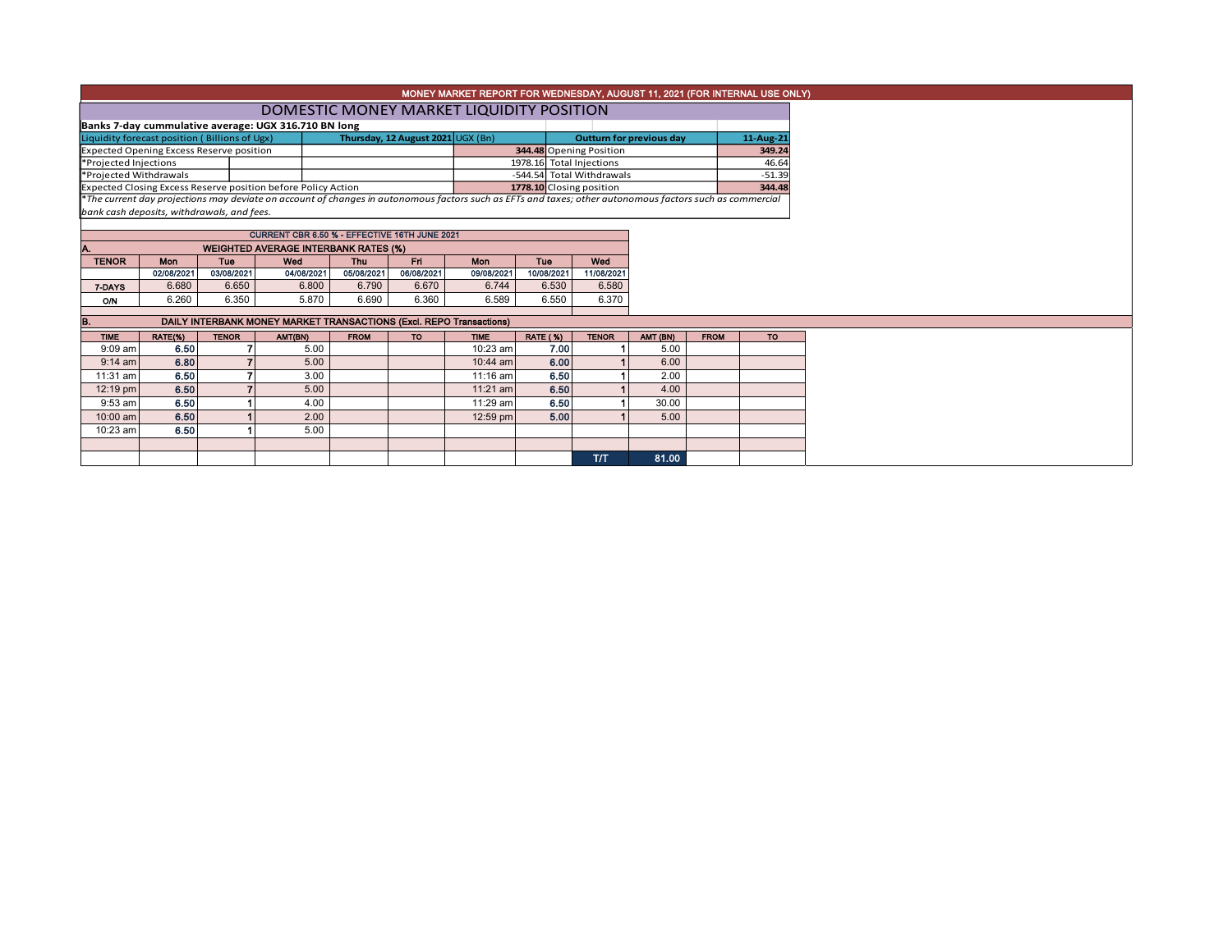|                                                                                                                                                                        | MONEY MARKET REPORT FOR WEDNESDAY, AUGUST 11, 2021 (FOR INTERNAL USE ONLY) |                   |                                                                                                                                                          |                          |                    |                   |                           |                          |       |                     |       |  |  |  |
|------------------------------------------------------------------------------------------------------------------------------------------------------------------------|----------------------------------------------------------------------------|-------------------|----------------------------------------------------------------------------------------------------------------------------------------------------------|--------------------------|--------------------|-------------------|---------------------------|--------------------------|-------|---------------------|-------|--|--|--|
|                                                                                                                                                                        | DOMESTIC MONEY MARKET LIQUIDITY POSITION                                   |                   |                                                                                                                                                          |                          |                    |                   |                           |                          |       |                     |       |  |  |  |
| Banks 7-day cummulative average: UGX 316.710 BN long<br>Thursday, 12 August 2021 UGX (Bn)<br>Liquidity forecast position (Billions of Ugx)<br>Outturn for previous day |                                                                            |                   |                                                                                                                                                          |                          |                    |                   |                           |                          |       |                     |       |  |  |  |
|                                                                                                                                                                        |                                                                            |                   |                                                                                                                                                          |                          |                    |                   | 344.48 Opening Position   |                          |       | 11-Aug-21<br>349.24 |       |  |  |  |
| <b>Expected Opening Excess Reserve position</b><br>*Projected Injections                                                                                               |                                                                            |                   |                                                                                                                                                          |                          |                    |                   |                           | 1978.16 Total Injections |       |                     | 46.64 |  |  |  |
| *Projected Withdrawals                                                                                                                                                 |                                                                            |                   |                                                                                                                                                          |                          |                    |                   | -544.54 Total Withdrawals |                          |       | $-51.39$            |       |  |  |  |
| Expected Closing Excess Reserve position before Policy Action                                                                                                          |                                                                            |                   |                                                                                                                                                          |                          |                    |                   | 1778.10 Closing position  |                          |       | 344.48              |       |  |  |  |
|                                                                                                                                                                        |                                                                            |                   | *The current day projections may deviate on account of changes in autonomous factors such as EFTs and taxes; other autonomous factors such as commercial |                          |                    |                   |                           |                          |       |                     |       |  |  |  |
|                                                                                                                                                                        | bank cash deposits, withdrawals, and fees.                                 |                   |                                                                                                                                                          |                          |                    |                   |                           |                          |       |                     |       |  |  |  |
|                                                                                                                                                                        |                                                                            |                   |                                                                                                                                                          |                          |                    |                   |                           |                          |       |                     |       |  |  |  |
|                                                                                                                                                                        |                                                                            |                   | CURRENT CBR 6.50 % - EFFECTIVE 16TH JUNE 2021                                                                                                            |                          |                    |                   |                           |                          |       |                     |       |  |  |  |
|                                                                                                                                                                        |                                                                            |                   | <b>WEIGHTED AVERAGE INTERBANK RATES (%)</b>                                                                                                              |                          |                    |                   |                           |                          |       |                     |       |  |  |  |
| <b>TENOR</b>                                                                                                                                                           | <b>Mon</b><br>02/08/2021                                                   | Tue<br>03/08/2021 | Wed<br>04/08/2021                                                                                                                                        | <b>Thu</b><br>05/08/2021 | Fri.<br>06/08/2021 | Mon<br>09/08/2021 | Tue<br>10/08/2021         | Wed<br>11/08/2021        |       |                     |       |  |  |  |
| 7-DAYS                                                                                                                                                                 | 6.680                                                                      | 6.650             | 6.800                                                                                                                                                    | 6.790                    | 6.670              | 6.744             | 6.530                     | 6.580                    |       |                     |       |  |  |  |
| <b>O/N</b>                                                                                                                                                             | 6.260                                                                      | 6.350             | 5.870                                                                                                                                                    | 6.690                    | 6.360              | 6.589             | 6.550                     | 6.370                    |       |                     |       |  |  |  |
|                                                                                                                                                                        |                                                                            |                   |                                                                                                                                                          |                          |                    |                   |                           |                          |       |                     |       |  |  |  |
| DAILY INTERBANK MONEY MARKET TRANSACTIONS (Excl. REPO Transactions)<br>в.                                                                                              |                                                                            |                   |                                                                                                                                                          |                          |                    |                   |                           |                          |       |                     |       |  |  |  |
| <b>TIME</b>                                                                                                                                                            | RATE(%)                                                                    | AMT (BN)          | <b>FROM</b>                                                                                                                                              | <b>TO</b>                |                    |                   |                           |                          |       |                     |       |  |  |  |
| $9:09$ am                                                                                                                                                              | 6.50                                                                       |                   | 5.00                                                                                                                                                     |                          |                    | 10:23 am          | 7.00                      |                          | 5.00  |                     |       |  |  |  |
| $9:14$ am                                                                                                                                                              | 6.80                                                                       |                   | 5.00                                                                                                                                                     |                          |                    | 10:44 am          | 6.00                      |                          | 6.00  |                     |       |  |  |  |
| 11:31 am                                                                                                                                                               | 6.50                                                                       |                   | 3.00                                                                                                                                                     |                          |                    | 11:16 am          | 6.50                      |                          | 2.00  |                     |       |  |  |  |
| 12:19 pm                                                                                                                                                               | 6.50                                                                       |                   | 5.00                                                                                                                                                     |                          |                    | $11:21$ am        | 6.50                      |                          | 4.00  |                     |       |  |  |  |
| $9:53$ am                                                                                                                                                              | 6.50                                                                       |                   | 4.00                                                                                                                                                     |                          |                    | 11:29 am          | 6.50                      |                          | 30.00 |                     |       |  |  |  |
| 10:00 am                                                                                                                                                               | 6.50                                                                       |                   | 2.00                                                                                                                                                     |                          |                    | 12:59 pm          | 5.00                      |                          | 5.00  |                     |       |  |  |  |
| 10:23 am                                                                                                                                                               | 6.50                                                                       |                   | 5.00                                                                                                                                                     |                          |                    |                   |                           |                          |       |                     |       |  |  |  |
|                                                                                                                                                                        |                                                                            |                   |                                                                                                                                                          |                          |                    |                   |                           |                          |       |                     |       |  |  |  |
|                                                                                                                                                                        |                                                                            |                   |                                                                                                                                                          |                          |                    |                   |                           | T/T                      | 81.00 |                     |       |  |  |  |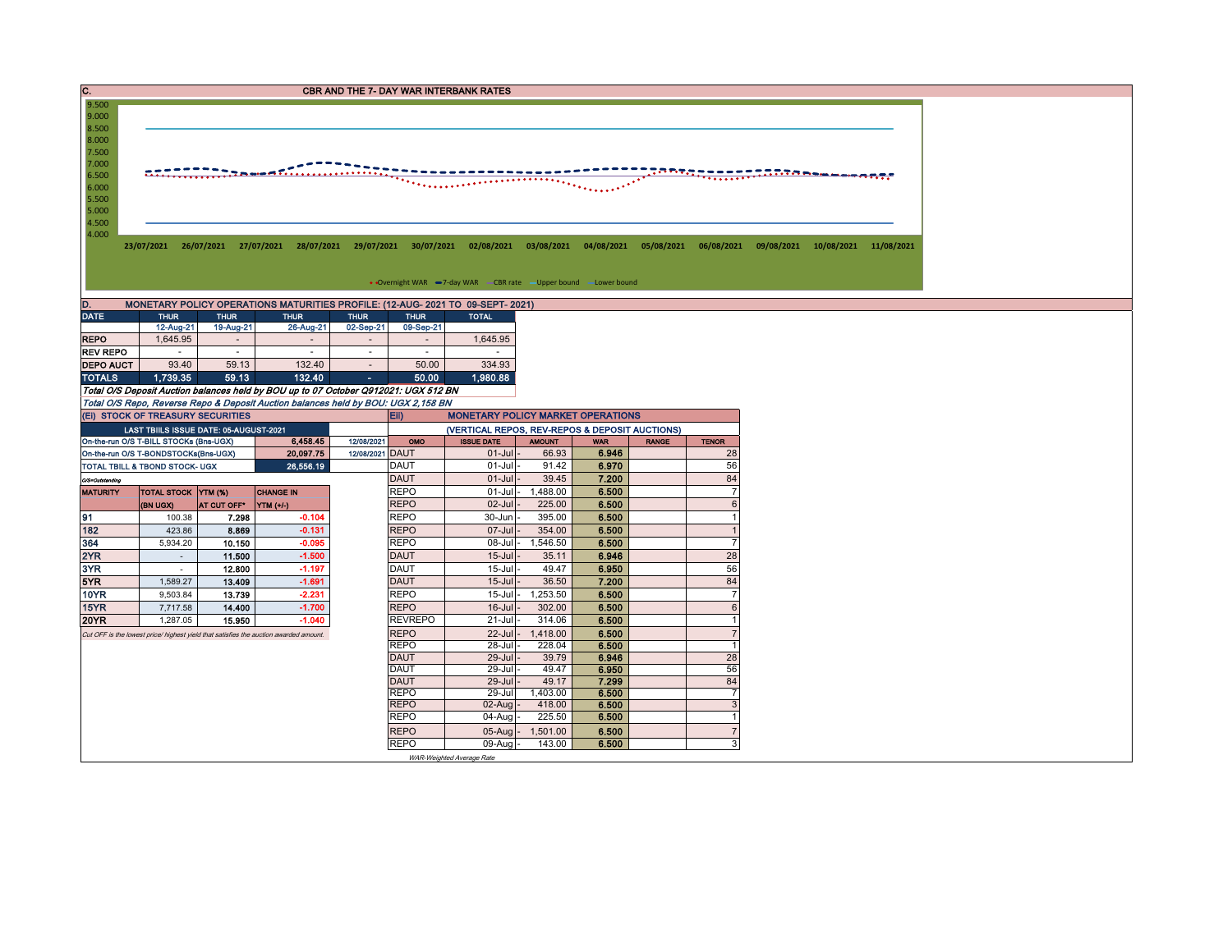| 9.500<br>9.000<br>8.500<br>8.000<br>7.500<br>7.000<br>. <u>.</u> .<br>6.500<br><del>.</del><br>6.000<br>5.500<br>5.000<br>4.500<br>4.000<br>• Overnight WAR -7-day WAR - CBR rate - Upper bound -Lower bound<br>MONETARY POLICY OPERATIONS MATURITIES PROFILE: (12-AUG- 2021 TO 09-SEPT- 2021)<br>D.<br><b>DATE</b><br><b>THUR</b><br><b>THUR</b><br><b>THUR</b><br><b>THUR</b><br><b>THUR</b><br><b>TOTAL</b><br>12-Aug-21<br>19-Aug-21<br>26-Aug-21<br>02-Sep-21<br>09-Sep-21<br>1,645.95<br>1,645.95<br><b>REPO</b><br>$\overline{a}$<br>$\sim$<br><b>REV REPO</b><br>$\sim$<br>$\sim$<br>$\sim$<br>$\sim$<br>$\sim$<br>$\sim$<br>93.40<br>334.93<br>59.13<br>132.40<br>50.00<br><b>DEPO AUCT</b><br>$\sim$<br>1,739.35<br>1,980.88<br><b>TOTALS</b><br>59.13<br>132.40<br>50.00<br>$\mathcal{L}(\mathcal{A})$<br>Total O/S Deposit Auction balances held by BOU up to 07 October Q912021: UGX 512 BN<br>Total O/S Repo, Reverse Repo & Deposit Auction balances held by BOU: UGX 2,158 BN<br>(EI) STOCK OF TREASURY SECURITIES<br><b>MONETARY POLICY MARKET OPERATIONS</b><br>Eii)<br>LAST TBIILS ISSUE DATE: 05-AUGUST-2021<br>(VERTICAL REPOS, REV-REPOS & DEPOSIT AUCTIONS)<br>6,458.45<br>On-the-run O/S T-BILL STOCKs (Bns-UGX)<br>12/08/2021<br>OMO<br><b>ISSUE DATE</b><br><b>AMOUNT</b><br><b>RANGE</b><br><b>TENOR</b><br><b>WAR</b><br>6.946<br>On-the-run O/S T-BONDSTOCKs(Bns-UGX)<br>20,097.75<br>12/08/2021 DAUT<br>$01$ -Jul<br>66.93<br>28<br>56<br>26,556.19<br><b>DAUT</b><br>$01$ -Jul<br>91.42<br>6.970<br>TOTAL TBILL & TBOND STOCK- UGX<br>84<br><b>DAUT</b><br>$01 -$ Jul<br>39.45<br>7.200<br>O/S=Outstanding<br><b>REPO</b><br>1,488.00<br>$\overline{7}$<br>$01$ -Jul<br>6.500<br><b>MATURITY</b><br>TOTAL STOCK YTM (%)<br><b>CHANGE IN</b><br><b>REPO</b><br>225.00<br>$6\phantom{1}$<br>02-Jul<br>6.500<br>(BN UGX)<br>AT CUT OFF*<br>YTM (+/-)<br>91<br><b>REPO</b><br>30-Jun<br>395.00<br>6.500<br>$\mathbf{1}$<br>7.298<br>$-0.104$<br>100.38<br><b>REPO</b><br>354.00<br>182<br>423.86<br>$-0.131$<br>07-Jul<br>6.500<br>$\mathbf{1}$<br>8.869<br>$\overline{7}$<br>364<br>$-0.095$<br><b>REPO</b><br>08-Jul<br>1,546.50<br>5,934.20<br>6.500<br>10.150<br>2YR<br>$-1.500$<br><b>DAUT</b><br>$15 -$ Jul<br>6.946<br>28<br>11.500<br>35.11<br>$\sim$<br>3YR<br>12.800<br>$-1.197$<br><b>DAUT</b><br>15-Jul<br>6.950<br>56<br>49.47<br>$\sim$<br>84<br>5YR<br>13.409<br>$-1.691$<br><b>DAUT</b><br>$15 -$ Jul<br>36.50<br>7.200<br>1,589.27<br><b>10YR</b><br>$\overline{7}$<br>13.739<br>$-2.231$<br><b>REPO</b><br>$15$ -Jul-<br>1,253.50<br>6.500<br>9,503.84<br>$6\phantom{.}$<br>$-1.700$<br><b>REPO</b><br>$16$ -Jul<br>15YR<br>7,717.58<br>14.400<br>302.00<br>6.500<br><b>20YR</b><br>$-1.040$<br><b>REVREPO</b><br>21-Jul<br>314.06<br>6.500<br>$\mathbf{1}$<br>15.950<br>1,287.05<br>$\overline{7}$<br><b>REPO</b><br>$22$ -Jul<br>1,418.00<br>6.500<br>Cut OFF is the lowest price/ highest yield that satisfies the auction awarded amount.<br><b>REPO</b><br>28-Jul<br>228.04<br>6.500<br>$\mathbf{1}$<br><b>DAUT</b><br>28<br>$29$ -Jul<br>39.79<br>6.946<br><b>DAUT</b><br>6.950<br>56<br>29-Jul<br>49.47<br><b>DAUT</b><br>29-Jul<br>49.17<br>7.299<br>84<br><b>REPO</b><br>1,403.00<br>6.500<br>$\overline{7}$<br>29-Jul<br>$\mathbf{3}$<br><b>REPO</b><br>$02$ -Aug<br>418.00<br>6.500<br><b>REPO</b><br>04-Aug<br>225.50<br>6.500<br>$\mathbf{1}$<br>$\overline{7}$<br><b>REPO</b><br>05-Aug<br>1,501.00<br>6.500<br>$\mathbf{3}$<br><b>REPO</b><br>143.00<br>6.500<br>$09$ -Aug<br>WAR-Weighted Average Rate | $\overline{c}$ . | <b>CBR AND THE 7- DAY WAR INTERBANK RATES</b> |  |  |  |  |  |  |  |  |  |  |  |  |  |  |  |  |  |  |  |
|---------------------------------------------------------------------------------------------------------------------------------------------------------------------------------------------------------------------------------------------------------------------------------------------------------------------------------------------------------------------------------------------------------------------------------------------------------------------------------------------------------------------------------------------------------------------------------------------------------------------------------------------------------------------------------------------------------------------------------------------------------------------------------------------------------------------------------------------------------------------------------------------------------------------------------------------------------------------------------------------------------------------------------------------------------------------------------------------------------------------------------------------------------------------------------------------------------------------------------------------------------------------------------------------------------------------------------------------------------------------------------------------------------------------------------------------------------------------------------------------------------------------------------------------------------------------------------------------------------------------------------------------------------------------------------------------------------------------------------------------------------------------------------------------------------------------------------------------------------------------------------------------------------------------------------------------------------------------------------------------------------------------------------------------------------------------------------------------------------------------------------------------------------------------------------------------------------------------------------------------------------------------------------------------------------------------------------------------------------------------------------------------------------------------------------------------------------------------------------------------------------------------------------------------------------------------------------------------------------------------------------------------------------------------------------------------------------------------------------------------------------------------------------------------------------------------------------------------------------------------------------------------------------------------------------------------------------------------------------------------------------------------------------------------------------------------------------------------------------------------------------------------------------------------------------------------------------------------------------------------------------------------------------------------------------------------------------------------------------------------------------------------------------------------------------------------------------------------------------------------------------------------------------------------------------------------|------------------|-----------------------------------------------|--|--|--|--|--|--|--|--|--|--|--|--|--|--|--|--|--|--|--|
| 23/07/2021 26/07/2021 27/07/2021 28/07/2021 29/07/2021 30/07/2021 02/08/2021 03/08/2021 04/08/2021 05/08/2021 06/08/2021 09/08/2021 10/08/2021 11/08/2021                                                                                                                                                                                                                                                                                                                                                                                                                                                                                                                                                                                                                                                                                                                                                                                                                                                                                                                                                                                                                                                                                                                                                                                                                                                                                                                                                                                                                                                                                                                                                                                                                                                                                                                                                                                                                                                                                                                                                                                                                                                                                                                                                                                                                                                                                                                                                                                                                                                                                                                                                                                                                                                                                                                                                                                                                                                                                                                                                                                                                                                                                                                                                                                                                                                                                                                                                                                                           |                  |                                               |  |  |  |  |  |  |  |  |  |  |  |  |  |  |  |  |  |  |  |
|                                                                                                                                                                                                                                                                                                                                                                                                                                                                                                                                                                                                                                                                                                                                                                                                                                                                                                                                                                                                                                                                                                                                                                                                                                                                                                                                                                                                                                                                                                                                                                                                                                                                                                                                                                                                                                                                                                                                                                                                                                                                                                                                                                                                                                                                                                                                                                                                                                                                                                                                                                                                                                                                                                                                                                                                                                                                                                                                                                                                                                                                                                                                                                                                                                                                                                                                                                                                                                                                                                                                                                     |                  |                                               |  |  |  |  |  |  |  |  |  |  |  |  |  |  |  |  |  |  |  |
|                                                                                                                                                                                                                                                                                                                                                                                                                                                                                                                                                                                                                                                                                                                                                                                                                                                                                                                                                                                                                                                                                                                                                                                                                                                                                                                                                                                                                                                                                                                                                                                                                                                                                                                                                                                                                                                                                                                                                                                                                                                                                                                                                                                                                                                                                                                                                                                                                                                                                                                                                                                                                                                                                                                                                                                                                                                                                                                                                                                                                                                                                                                                                                                                                                                                                                                                                                                                                                                                                                                                                                     |                  |                                               |  |  |  |  |  |  |  |  |  |  |  |  |  |  |  |  |  |  |  |
|                                                                                                                                                                                                                                                                                                                                                                                                                                                                                                                                                                                                                                                                                                                                                                                                                                                                                                                                                                                                                                                                                                                                                                                                                                                                                                                                                                                                                                                                                                                                                                                                                                                                                                                                                                                                                                                                                                                                                                                                                                                                                                                                                                                                                                                                                                                                                                                                                                                                                                                                                                                                                                                                                                                                                                                                                                                                                                                                                                                                                                                                                                                                                                                                                                                                                                                                                                                                                                                                                                                                                                     |                  |                                               |  |  |  |  |  |  |  |  |  |  |  |  |  |  |  |  |  |  |  |
|                                                                                                                                                                                                                                                                                                                                                                                                                                                                                                                                                                                                                                                                                                                                                                                                                                                                                                                                                                                                                                                                                                                                                                                                                                                                                                                                                                                                                                                                                                                                                                                                                                                                                                                                                                                                                                                                                                                                                                                                                                                                                                                                                                                                                                                                                                                                                                                                                                                                                                                                                                                                                                                                                                                                                                                                                                                                                                                                                                                                                                                                                                                                                                                                                                                                                                                                                                                                                                                                                                                                                                     |                  |                                               |  |  |  |  |  |  |  |  |  |  |  |  |  |  |  |  |  |  |  |
|                                                                                                                                                                                                                                                                                                                                                                                                                                                                                                                                                                                                                                                                                                                                                                                                                                                                                                                                                                                                                                                                                                                                                                                                                                                                                                                                                                                                                                                                                                                                                                                                                                                                                                                                                                                                                                                                                                                                                                                                                                                                                                                                                                                                                                                                                                                                                                                                                                                                                                                                                                                                                                                                                                                                                                                                                                                                                                                                                                                                                                                                                                                                                                                                                                                                                                                                                                                                                                                                                                                                                                     |                  |                                               |  |  |  |  |  |  |  |  |  |  |  |  |  |  |  |  |  |  |  |
|                                                                                                                                                                                                                                                                                                                                                                                                                                                                                                                                                                                                                                                                                                                                                                                                                                                                                                                                                                                                                                                                                                                                                                                                                                                                                                                                                                                                                                                                                                                                                                                                                                                                                                                                                                                                                                                                                                                                                                                                                                                                                                                                                                                                                                                                                                                                                                                                                                                                                                                                                                                                                                                                                                                                                                                                                                                                                                                                                                                                                                                                                                                                                                                                                                                                                                                                                                                                                                                                                                                                                                     |                  |                                               |  |  |  |  |  |  |  |  |  |  |  |  |  |  |  |  |  |  |  |
|                                                                                                                                                                                                                                                                                                                                                                                                                                                                                                                                                                                                                                                                                                                                                                                                                                                                                                                                                                                                                                                                                                                                                                                                                                                                                                                                                                                                                                                                                                                                                                                                                                                                                                                                                                                                                                                                                                                                                                                                                                                                                                                                                                                                                                                                                                                                                                                                                                                                                                                                                                                                                                                                                                                                                                                                                                                                                                                                                                                                                                                                                                                                                                                                                                                                                                                                                                                                                                                                                                                                                                     |                  |                                               |  |  |  |  |  |  |  |  |  |  |  |  |  |  |  |  |  |  |  |
|                                                                                                                                                                                                                                                                                                                                                                                                                                                                                                                                                                                                                                                                                                                                                                                                                                                                                                                                                                                                                                                                                                                                                                                                                                                                                                                                                                                                                                                                                                                                                                                                                                                                                                                                                                                                                                                                                                                                                                                                                                                                                                                                                                                                                                                                                                                                                                                                                                                                                                                                                                                                                                                                                                                                                                                                                                                                                                                                                                                                                                                                                                                                                                                                                                                                                                                                                                                                                                                                                                                                                                     |                  |                                               |  |  |  |  |  |  |  |  |  |  |  |  |  |  |  |  |  |  |  |
|                                                                                                                                                                                                                                                                                                                                                                                                                                                                                                                                                                                                                                                                                                                                                                                                                                                                                                                                                                                                                                                                                                                                                                                                                                                                                                                                                                                                                                                                                                                                                                                                                                                                                                                                                                                                                                                                                                                                                                                                                                                                                                                                                                                                                                                                                                                                                                                                                                                                                                                                                                                                                                                                                                                                                                                                                                                                                                                                                                                                                                                                                                                                                                                                                                                                                                                                                                                                                                                                                                                                                                     |                  |                                               |  |  |  |  |  |  |  |  |  |  |  |  |  |  |  |  |  |  |  |
|                                                                                                                                                                                                                                                                                                                                                                                                                                                                                                                                                                                                                                                                                                                                                                                                                                                                                                                                                                                                                                                                                                                                                                                                                                                                                                                                                                                                                                                                                                                                                                                                                                                                                                                                                                                                                                                                                                                                                                                                                                                                                                                                                                                                                                                                                                                                                                                                                                                                                                                                                                                                                                                                                                                                                                                                                                                                                                                                                                                                                                                                                                                                                                                                                                                                                                                                                                                                                                                                                                                                                                     |                  |                                               |  |  |  |  |  |  |  |  |  |  |  |  |  |  |  |  |  |  |  |
|                                                                                                                                                                                                                                                                                                                                                                                                                                                                                                                                                                                                                                                                                                                                                                                                                                                                                                                                                                                                                                                                                                                                                                                                                                                                                                                                                                                                                                                                                                                                                                                                                                                                                                                                                                                                                                                                                                                                                                                                                                                                                                                                                                                                                                                                                                                                                                                                                                                                                                                                                                                                                                                                                                                                                                                                                                                                                                                                                                                                                                                                                                                                                                                                                                                                                                                                                                                                                                                                                                                                                                     |                  |                                               |  |  |  |  |  |  |  |  |  |  |  |  |  |  |  |  |  |  |  |
|                                                                                                                                                                                                                                                                                                                                                                                                                                                                                                                                                                                                                                                                                                                                                                                                                                                                                                                                                                                                                                                                                                                                                                                                                                                                                                                                                                                                                                                                                                                                                                                                                                                                                                                                                                                                                                                                                                                                                                                                                                                                                                                                                                                                                                                                                                                                                                                                                                                                                                                                                                                                                                                                                                                                                                                                                                                                                                                                                                                                                                                                                                                                                                                                                                                                                                                                                                                                                                                                                                                                                                     |                  |                                               |  |  |  |  |  |  |  |  |  |  |  |  |  |  |  |  |  |  |  |
|                                                                                                                                                                                                                                                                                                                                                                                                                                                                                                                                                                                                                                                                                                                                                                                                                                                                                                                                                                                                                                                                                                                                                                                                                                                                                                                                                                                                                                                                                                                                                                                                                                                                                                                                                                                                                                                                                                                                                                                                                                                                                                                                                                                                                                                                                                                                                                                                                                                                                                                                                                                                                                                                                                                                                                                                                                                                                                                                                                                                                                                                                                                                                                                                                                                                                                                                                                                                                                                                                                                                                                     |                  |                                               |  |  |  |  |  |  |  |  |  |  |  |  |  |  |  |  |  |  |  |
|                                                                                                                                                                                                                                                                                                                                                                                                                                                                                                                                                                                                                                                                                                                                                                                                                                                                                                                                                                                                                                                                                                                                                                                                                                                                                                                                                                                                                                                                                                                                                                                                                                                                                                                                                                                                                                                                                                                                                                                                                                                                                                                                                                                                                                                                                                                                                                                                                                                                                                                                                                                                                                                                                                                                                                                                                                                                                                                                                                                                                                                                                                                                                                                                                                                                                                                                                                                                                                                                                                                                                                     |                  |                                               |  |  |  |  |  |  |  |  |  |  |  |  |  |  |  |  |  |  |  |
|                                                                                                                                                                                                                                                                                                                                                                                                                                                                                                                                                                                                                                                                                                                                                                                                                                                                                                                                                                                                                                                                                                                                                                                                                                                                                                                                                                                                                                                                                                                                                                                                                                                                                                                                                                                                                                                                                                                                                                                                                                                                                                                                                                                                                                                                                                                                                                                                                                                                                                                                                                                                                                                                                                                                                                                                                                                                                                                                                                                                                                                                                                                                                                                                                                                                                                                                                                                                                                                                                                                                                                     |                  |                                               |  |  |  |  |  |  |  |  |  |  |  |  |  |  |  |  |  |  |  |
|                                                                                                                                                                                                                                                                                                                                                                                                                                                                                                                                                                                                                                                                                                                                                                                                                                                                                                                                                                                                                                                                                                                                                                                                                                                                                                                                                                                                                                                                                                                                                                                                                                                                                                                                                                                                                                                                                                                                                                                                                                                                                                                                                                                                                                                                                                                                                                                                                                                                                                                                                                                                                                                                                                                                                                                                                                                                                                                                                                                                                                                                                                                                                                                                                                                                                                                                                                                                                                                                                                                                                                     |                  |                                               |  |  |  |  |  |  |  |  |  |  |  |  |  |  |  |  |  |  |  |
|                                                                                                                                                                                                                                                                                                                                                                                                                                                                                                                                                                                                                                                                                                                                                                                                                                                                                                                                                                                                                                                                                                                                                                                                                                                                                                                                                                                                                                                                                                                                                                                                                                                                                                                                                                                                                                                                                                                                                                                                                                                                                                                                                                                                                                                                                                                                                                                                                                                                                                                                                                                                                                                                                                                                                                                                                                                                                                                                                                                                                                                                                                                                                                                                                                                                                                                                                                                                                                                                                                                                                                     |                  |                                               |  |  |  |  |  |  |  |  |  |  |  |  |  |  |  |  |  |  |  |
|                                                                                                                                                                                                                                                                                                                                                                                                                                                                                                                                                                                                                                                                                                                                                                                                                                                                                                                                                                                                                                                                                                                                                                                                                                                                                                                                                                                                                                                                                                                                                                                                                                                                                                                                                                                                                                                                                                                                                                                                                                                                                                                                                                                                                                                                                                                                                                                                                                                                                                                                                                                                                                                                                                                                                                                                                                                                                                                                                                                                                                                                                                                                                                                                                                                                                                                                                                                                                                                                                                                                                                     |                  |                                               |  |  |  |  |  |  |  |  |  |  |  |  |  |  |  |  |  |  |  |
|                                                                                                                                                                                                                                                                                                                                                                                                                                                                                                                                                                                                                                                                                                                                                                                                                                                                                                                                                                                                                                                                                                                                                                                                                                                                                                                                                                                                                                                                                                                                                                                                                                                                                                                                                                                                                                                                                                                                                                                                                                                                                                                                                                                                                                                                                                                                                                                                                                                                                                                                                                                                                                                                                                                                                                                                                                                                                                                                                                                                                                                                                                                                                                                                                                                                                                                                                                                                                                                                                                                                                                     |                  |                                               |  |  |  |  |  |  |  |  |  |  |  |  |  |  |  |  |  |  |  |
|                                                                                                                                                                                                                                                                                                                                                                                                                                                                                                                                                                                                                                                                                                                                                                                                                                                                                                                                                                                                                                                                                                                                                                                                                                                                                                                                                                                                                                                                                                                                                                                                                                                                                                                                                                                                                                                                                                                                                                                                                                                                                                                                                                                                                                                                                                                                                                                                                                                                                                                                                                                                                                                                                                                                                                                                                                                                                                                                                                                                                                                                                                                                                                                                                                                                                                                                                                                                                                                                                                                                                                     |                  |                                               |  |  |  |  |  |  |  |  |  |  |  |  |  |  |  |  |  |  |  |
|                                                                                                                                                                                                                                                                                                                                                                                                                                                                                                                                                                                                                                                                                                                                                                                                                                                                                                                                                                                                                                                                                                                                                                                                                                                                                                                                                                                                                                                                                                                                                                                                                                                                                                                                                                                                                                                                                                                                                                                                                                                                                                                                                                                                                                                                                                                                                                                                                                                                                                                                                                                                                                                                                                                                                                                                                                                                                                                                                                                                                                                                                                                                                                                                                                                                                                                                                                                                                                                                                                                                                                     |                  |                                               |  |  |  |  |  |  |  |  |  |  |  |  |  |  |  |  |  |  |  |
|                                                                                                                                                                                                                                                                                                                                                                                                                                                                                                                                                                                                                                                                                                                                                                                                                                                                                                                                                                                                                                                                                                                                                                                                                                                                                                                                                                                                                                                                                                                                                                                                                                                                                                                                                                                                                                                                                                                                                                                                                                                                                                                                                                                                                                                                                                                                                                                                                                                                                                                                                                                                                                                                                                                                                                                                                                                                                                                                                                                                                                                                                                                                                                                                                                                                                                                                                                                                                                                                                                                                                                     |                  |                                               |  |  |  |  |  |  |  |  |  |  |  |  |  |  |  |  |  |  |  |
|                                                                                                                                                                                                                                                                                                                                                                                                                                                                                                                                                                                                                                                                                                                                                                                                                                                                                                                                                                                                                                                                                                                                                                                                                                                                                                                                                                                                                                                                                                                                                                                                                                                                                                                                                                                                                                                                                                                                                                                                                                                                                                                                                                                                                                                                                                                                                                                                                                                                                                                                                                                                                                                                                                                                                                                                                                                                                                                                                                                                                                                                                                                                                                                                                                                                                                                                                                                                                                                                                                                                                                     |                  |                                               |  |  |  |  |  |  |  |  |  |  |  |  |  |  |  |  |  |  |  |
|                                                                                                                                                                                                                                                                                                                                                                                                                                                                                                                                                                                                                                                                                                                                                                                                                                                                                                                                                                                                                                                                                                                                                                                                                                                                                                                                                                                                                                                                                                                                                                                                                                                                                                                                                                                                                                                                                                                                                                                                                                                                                                                                                                                                                                                                                                                                                                                                                                                                                                                                                                                                                                                                                                                                                                                                                                                                                                                                                                                                                                                                                                                                                                                                                                                                                                                                                                                                                                                                                                                                                                     |                  |                                               |  |  |  |  |  |  |  |  |  |  |  |  |  |  |  |  |  |  |  |
|                                                                                                                                                                                                                                                                                                                                                                                                                                                                                                                                                                                                                                                                                                                                                                                                                                                                                                                                                                                                                                                                                                                                                                                                                                                                                                                                                                                                                                                                                                                                                                                                                                                                                                                                                                                                                                                                                                                                                                                                                                                                                                                                                                                                                                                                                                                                                                                                                                                                                                                                                                                                                                                                                                                                                                                                                                                                                                                                                                                                                                                                                                                                                                                                                                                                                                                                                                                                                                                                                                                                                                     |                  |                                               |  |  |  |  |  |  |  |  |  |  |  |  |  |  |  |  |  |  |  |
|                                                                                                                                                                                                                                                                                                                                                                                                                                                                                                                                                                                                                                                                                                                                                                                                                                                                                                                                                                                                                                                                                                                                                                                                                                                                                                                                                                                                                                                                                                                                                                                                                                                                                                                                                                                                                                                                                                                                                                                                                                                                                                                                                                                                                                                                                                                                                                                                                                                                                                                                                                                                                                                                                                                                                                                                                                                                                                                                                                                                                                                                                                                                                                                                                                                                                                                                                                                                                                                                                                                                                                     |                  |                                               |  |  |  |  |  |  |  |  |  |  |  |  |  |  |  |  |  |  |  |
|                                                                                                                                                                                                                                                                                                                                                                                                                                                                                                                                                                                                                                                                                                                                                                                                                                                                                                                                                                                                                                                                                                                                                                                                                                                                                                                                                                                                                                                                                                                                                                                                                                                                                                                                                                                                                                                                                                                                                                                                                                                                                                                                                                                                                                                                                                                                                                                                                                                                                                                                                                                                                                                                                                                                                                                                                                                                                                                                                                                                                                                                                                                                                                                                                                                                                                                                                                                                                                                                                                                                                                     |                  |                                               |  |  |  |  |  |  |  |  |  |  |  |  |  |  |  |  |  |  |  |
|                                                                                                                                                                                                                                                                                                                                                                                                                                                                                                                                                                                                                                                                                                                                                                                                                                                                                                                                                                                                                                                                                                                                                                                                                                                                                                                                                                                                                                                                                                                                                                                                                                                                                                                                                                                                                                                                                                                                                                                                                                                                                                                                                                                                                                                                                                                                                                                                                                                                                                                                                                                                                                                                                                                                                                                                                                                                                                                                                                                                                                                                                                                                                                                                                                                                                                                                                                                                                                                                                                                                                                     |                  |                                               |  |  |  |  |  |  |  |  |  |  |  |  |  |  |  |  |  |  |  |
|                                                                                                                                                                                                                                                                                                                                                                                                                                                                                                                                                                                                                                                                                                                                                                                                                                                                                                                                                                                                                                                                                                                                                                                                                                                                                                                                                                                                                                                                                                                                                                                                                                                                                                                                                                                                                                                                                                                                                                                                                                                                                                                                                                                                                                                                                                                                                                                                                                                                                                                                                                                                                                                                                                                                                                                                                                                                                                                                                                                                                                                                                                                                                                                                                                                                                                                                                                                                                                                                                                                                                                     |                  |                                               |  |  |  |  |  |  |  |  |  |  |  |  |  |  |  |  |  |  |  |
|                                                                                                                                                                                                                                                                                                                                                                                                                                                                                                                                                                                                                                                                                                                                                                                                                                                                                                                                                                                                                                                                                                                                                                                                                                                                                                                                                                                                                                                                                                                                                                                                                                                                                                                                                                                                                                                                                                                                                                                                                                                                                                                                                                                                                                                                                                                                                                                                                                                                                                                                                                                                                                                                                                                                                                                                                                                                                                                                                                                                                                                                                                                                                                                                                                                                                                                                                                                                                                                                                                                                                                     |                  |                                               |  |  |  |  |  |  |  |  |  |  |  |  |  |  |  |  |  |  |  |
|                                                                                                                                                                                                                                                                                                                                                                                                                                                                                                                                                                                                                                                                                                                                                                                                                                                                                                                                                                                                                                                                                                                                                                                                                                                                                                                                                                                                                                                                                                                                                                                                                                                                                                                                                                                                                                                                                                                                                                                                                                                                                                                                                                                                                                                                                                                                                                                                                                                                                                                                                                                                                                                                                                                                                                                                                                                                                                                                                                                                                                                                                                                                                                                                                                                                                                                                                                                                                                                                                                                                                                     |                  |                                               |  |  |  |  |  |  |  |  |  |  |  |  |  |  |  |  |  |  |  |
|                                                                                                                                                                                                                                                                                                                                                                                                                                                                                                                                                                                                                                                                                                                                                                                                                                                                                                                                                                                                                                                                                                                                                                                                                                                                                                                                                                                                                                                                                                                                                                                                                                                                                                                                                                                                                                                                                                                                                                                                                                                                                                                                                                                                                                                                                                                                                                                                                                                                                                                                                                                                                                                                                                                                                                                                                                                                                                                                                                                                                                                                                                                                                                                                                                                                                                                                                                                                                                                                                                                                                                     |                  |                                               |  |  |  |  |  |  |  |  |  |  |  |  |  |  |  |  |  |  |  |
|                                                                                                                                                                                                                                                                                                                                                                                                                                                                                                                                                                                                                                                                                                                                                                                                                                                                                                                                                                                                                                                                                                                                                                                                                                                                                                                                                                                                                                                                                                                                                                                                                                                                                                                                                                                                                                                                                                                                                                                                                                                                                                                                                                                                                                                                                                                                                                                                                                                                                                                                                                                                                                                                                                                                                                                                                                                                                                                                                                                                                                                                                                                                                                                                                                                                                                                                                                                                                                                                                                                                                                     |                  |                                               |  |  |  |  |  |  |  |  |  |  |  |  |  |  |  |  |  |  |  |
|                                                                                                                                                                                                                                                                                                                                                                                                                                                                                                                                                                                                                                                                                                                                                                                                                                                                                                                                                                                                                                                                                                                                                                                                                                                                                                                                                                                                                                                                                                                                                                                                                                                                                                                                                                                                                                                                                                                                                                                                                                                                                                                                                                                                                                                                                                                                                                                                                                                                                                                                                                                                                                                                                                                                                                                                                                                                                                                                                                                                                                                                                                                                                                                                                                                                                                                                                                                                                                                                                                                                                                     |                  |                                               |  |  |  |  |  |  |  |  |  |  |  |  |  |  |  |  |  |  |  |
|                                                                                                                                                                                                                                                                                                                                                                                                                                                                                                                                                                                                                                                                                                                                                                                                                                                                                                                                                                                                                                                                                                                                                                                                                                                                                                                                                                                                                                                                                                                                                                                                                                                                                                                                                                                                                                                                                                                                                                                                                                                                                                                                                                                                                                                                                                                                                                                                                                                                                                                                                                                                                                                                                                                                                                                                                                                                                                                                                                                                                                                                                                                                                                                                                                                                                                                                                                                                                                                                                                                                                                     |                  |                                               |  |  |  |  |  |  |  |  |  |  |  |  |  |  |  |  |  |  |  |
|                                                                                                                                                                                                                                                                                                                                                                                                                                                                                                                                                                                                                                                                                                                                                                                                                                                                                                                                                                                                                                                                                                                                                                                                                                                                                                                                                                                                                                                                                                                                                                                                                                                                                                                                                                                                                                                                                                                                                                                                                                                                                                                                                                                                                                                                                                                                                                                                                                                                                                                                                                                                                                                                                                                                                                                                                                                                                                                                                                                                                                                                                                                                                                                                                                                                                                                                                                                                                                                                                                                                                                     |                  |                                               |  |  |  |  |  |  |  |  |  |  |  |  |  |  |  |  |  |  |  |
|                                                                                                                                                                                                                                                                                                                                                                                                                                                                                                                                                                                                                                                                                                                                                                                                                                                                                                                                                                                                                                                                                                                                                                                                                                                                                                                                                                                                                                                                                                                                                                                                                                                                                                                                                                                                                                                                                                                                                                                                                                                                                                                                                                                                                                                                                                                                                                                                                                                                                                                                                                                                                                                                                                                                                                                                                                                                                                                                                                                                                                                                                                                                                                                                                                                                                                                                                                                                                                                                                                                                                                     |                  |                                               |  |  |  |  |  |  |  |  |  |  |  |  |  |  |  |  |  |  |  |
|                                                                                                                                                                                                                                                                                                                                                                                                                                                                                                                                                                                                                                                                                                                                                                                                                                                                                                                                                                                                                                                                                                                                                                                                                                                                                                                                                                                                                                                                                                                                                                                                                                                                                                                                                                                                                                                                                                                                                                                                                                                                                                                                                                                                                                                                                                                                                                                                                                                                                                                                                                                                                                                                                                                                                                                                                                                                                                                                                                                                                                                                                                                                                                                                                                                                                                                                                                                                                                                                                                                                                                     |                  |                                               |  |  |  |  |  |  |  |  |  |  |  |  |  |  |  |  |  |  |  |
|                                                                                                                                                                                                                                                                                                                                                                                                                                                                                                                                                                                                                                                                                                                                                                                                                                                                                                                                                                                                                                                                                                                                                                                                                                                                                                                                                                                                                                                                                                                                                                                                                                                                                                                                                                                                                                                                                                                                                                                                                                                                                                                                                                                                                                                                                                                                                                                                                                                                                                                                                                                                                                                                                                                                                                                                                                                                                                                                                                                                                                                                                                                                                                                                                                                                                                                                                                                                                                                                                                                                                                     |                  |                                               |  |  |  |  |  |  |  |  |  |  |  |  |  |  |  |  |  |  |  |
|                                                                                                                                                                                                                                                                                                                                                                                                                                                                                                                                                                                                                                                                                                                                                                                                                                                                                                                                                                                                                                                                                                                                                                                                                                                                                                                                                                                                                                                                                                                                                                                                                                                                                                                                                                                                                                                                                                                                                                                                                                                                                                                                                                                                                                                                                                                                                                                                                                                                                                                                                                                                                                                                                                                                                                                                                                                                                                                                                                                                                                                                                                                                                                                                                                                                                                                                                                                                                                                                                                                                                                     |                  |                                               |  |  |  |  |  |  |  |  |  |  |  |  |  |  |  |  |  |  |  |
|                                                                                                                                                                                                                                                                                                                                                                                                                                                                                                                                                                                                                                                                                                                                                                                                                                                                                                                                                                                                                                                                                                                                                                                                                                                                                                                                                                                                                                                                                                                                                                                                                                                                                                                                                                                                                                                                                                                                                                                                                                                                                                                                                                                                                                                                                                                                                                                                                                                                                                                                                                                                                                                                                                                                                                                                                                                                                                                                                                                                                                                                                                                                                                                                                                                                                                                                                                                                                                                                                                                                                                     |                  |                                               |  |  |  |  |  |  |  |  |  |  |  |  |  |  |  |  |  |  |  |
|                                                                                                                                                                                                                                                                                                                                                                                                                                                                                                                                                                                                                                                                                                                                                                                                                                                                                                                                                                                                                                                                                                                                                                                                                                                                                                                                                                                                                                                                                                                                                                                                                                                                                                                                                                                                                                                                                                                                                                                                                                                                                                                                                                                                                                                                                                                                                                                                                                                                                                                                                                                                                                                                                                                                                                                                                                                                                                                                                                                                                                                                                                                                                                                                                                                                                                                                                                                                                                                                                                                                                                     |                  |                                               |  |  |  |  |  |  |  |  |  |  |  |  |  |  |  |  |  |  |  |
|                                                                                                                                                                                                                                                                                                                                                                                                                                                                                                                                                                                                                                                                                                                                                                                                                                                                                                                                                                                                                                                                                                                                                                                                                                                                                                                                                                                                                                                                                                                                                                                                                                                                                                                                                                                                                                                                                                                                                                                                                                                                                                                                                                                                                                                                                                                                                                                                                                                                                                                                                                                                                                                                                                                                                                                                                                                                                                                                                                                                                                                                                                                                                                                                                                                                                                                                                                                                                                                                                                                                                                     |                  |                                               |  |  |  |  |  |  |  |  |  |  |  |  |  |  |  |  |  |  |  |
|                                                                                                                                                                                                                                                                                                                                                                                                                                                                                                                                                                                                                                                                                                                                                                                                                                                                                                                                                                                                                                                                                                                                                                                                                                                                                                                                                                                                                                                                                                                                                                                                                                                                                                                                                                                                                                                                                                                                                                                                                                                                                                                                                                                                                                                                                                                                                                                                                                                                                                                                                                                                                                                                                                                                                                                                                                                                                                                                                                                                                                                                                                                                                                                                                                                                                                                                                                                                                                                                                                                                                                     |                  |                                               |  |  |  |  |  |  |  |  |  |  |  |  |  |  |  |  |  |  |  |
|                                                                                                                                                                                                                                                                                                                                                                                                                                                                                                                                                                                                                                                                                                                                                                                                                                                                                                                                                                                                                                                                                                                                                                                                                                                                                                                                                                                                                                                                                                                                                                                                                                                                                                                                                                                                                                                                                                                                                                                                                                                                                                                                                                                                                                                                                                                                                                                                                                                                                                                                                                                                                                                                                                                                                                                                                                                                                                                                                                                                                                                                                                                                                                                                                                                                                                                                                                                                                                                                                                                                                                     |                  |                                               |  |  |  |  |  |  |  |  |  |  |  |  |  |  |  |  |  |  |  |
|                                                                                                                                                                                                                                                                                                                                                                                                                                                                                                                                                                                                                                                                                                                                                                                                                                                                                                                                                                                                                                                                                                                                                                                                                                                                                                                                                                                                                                                                                                                                                                                                                                                                                                                                                                                                                                                                                                                                                                                                                                                                                                                                                                                                                                                                                                                                                                                                                                                                                                                                                                                                                                                                                                                                                                                                                                                                                                                                                                                                                                                                                                                                                                                                                                                                                                                                                                                                                                                                                                                                                                     |                  |                                               |  |  |  |  |  |  |  |  |  |  |  |  |  |  |  |  |  |  |  |
|                                                                                                                                                                                                                                                                                                                                                                                                                                                                                                                                                                                                                                                                                                                                                                                                                                                                                                                                                                                                                                                                                                                                                                                                                                                                                                                                                                                                                                                                                                                                                                                                                                                                                                                                                                                                                                                                                                                                                                                                                                                                                                                                                                                                                                                                                                                                                                                                                                                                                                                                                                                                                                                                                                                                                                                                                                                                                                                                                                                                                                                                                                                                                                                                                                                                                                                                                                                                                                                                                                                                                                     |                  |                                               |  |  |  |  |  |  |  |  |  |  |  |  |  |  |  |  |  |  |  |
|                                                                                                                                                                                                                                                                                                                                                                                                                                                                                                                                                                                                                                                                                                                                                                                                                                                                                                                                                                                                                                                                                                                                                                                                                                                                                                                                                                                                                                                                                                                                                                                                                                                                                                                                                                                                                                                                                                                                                                                                                                                                                                                                                                                                                                                                                                                                                                                                                                                                                                                                                                                                                                                                                                                                                                                                                                                                                                                                                                                                                                                                                                                                                                                                                                                                                                                                                                                                                                                                                                                                                                     |                  |                                               |  |  |  |  |  |  |  |  |  |  |  |  |  |  |  |  |  |  |  |